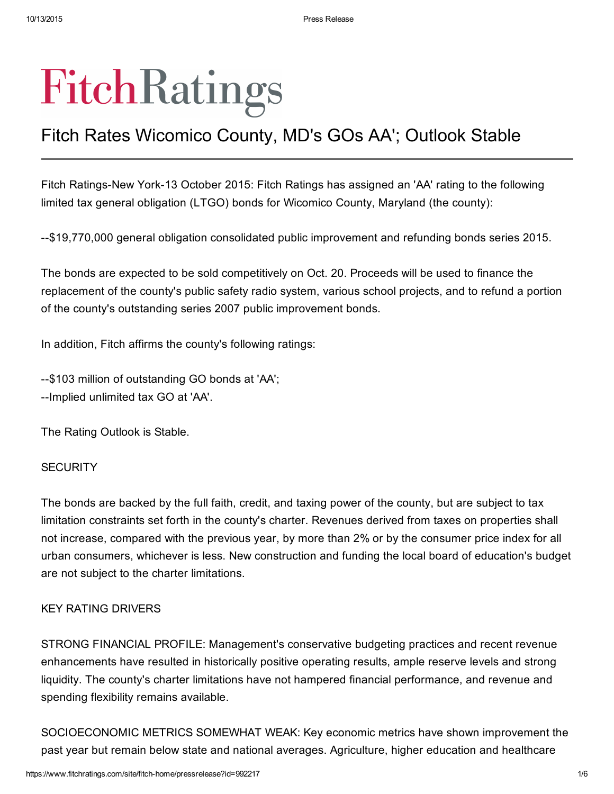# FitchRatings

## Fitch Rates Wicomico County, MD's GOs AA'; Outlook Stable

Fitch Ratings-New York-13 October 2015: Fitch Ratings has assigned an 'AA' rating to the following limited tax general obligation (LTGO) bonds for Wicomico County, Maryland (the county):

\$19,770,000 general obligation consolidated public improvement and refunding bonds series 2015.

The bonds are expected to be sold competitively on Oct. 20. Proceeds will be used to finance the replacement of the county's public safety radio system, various school projects, and to refund a portion of the county's outstanding series 2007 public improvement bonds.

In addition, Fitch affirms the county's following ratings:

--\$103 million of outstanding GO bonds at 'AA'; --Implied unlimited tax GO at 'AA'.

The Rating Outlook is Stable.

#### **SECURITY**

The bonds are backed by the full faith, credit, and taxing power of the county, but are subject to tax limitation constraints set forth in the county's charter. Revenues derived from taxes on properties shall not increase, compared with the previous year, by more than 2% or by the consumer price index for all urban consumers, whichever is less. New construction and funding the local board of education's budget are not subject to the charter limitations.

#### KEY RATING DRIVERS

STRONG FINANCIAL PROFILE: Management's conservative budgeting practices and recent revenue enhancements have resulted in historically positive operating results, ample reserve levels and strong liquidity. The county's charter limitations have not hampered financial performance, and revenue and spending flexibility remains available.

SOCIOECONOMIC METRICS SOMEWHAT WEAK: Key economic metrics have shown improvement the past year but remain below state and national averages. Agriculture, higher education and healthcare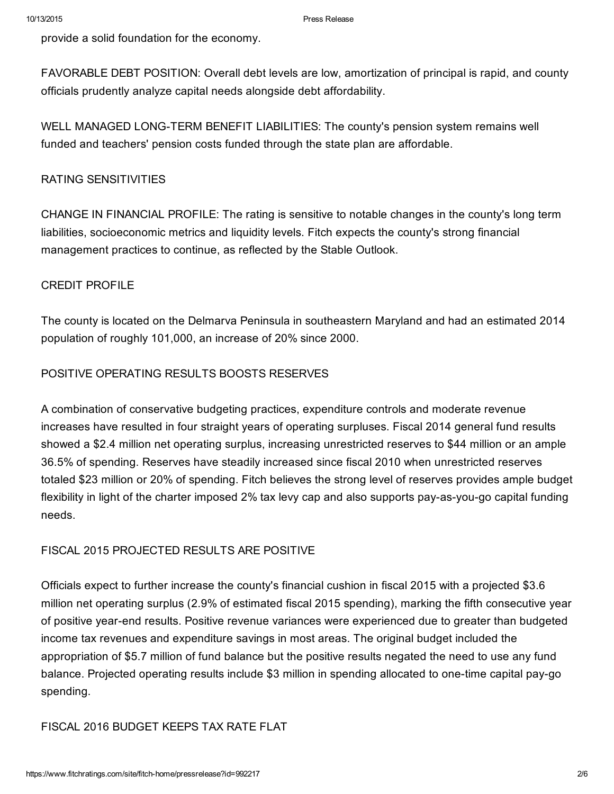provide a solid foundation for the economy.

FAVORABLE DEBT POSITION: Overall debt levels are low, amortization of principal is rapid, and county officials prudently analyze capital needs alongside debt affordability.

WELL MANAGED LONG-TERM BENEFIT LIABILITIES: The county's pension system remains well funded and teachers' pension costs funded through the state plan are affordable.

#### RATING SENSITIVITIES

CHANGE IN FINANCIAL PROFILE: The rating is sensitive to notable changes in the county's long term liabilities, socioeconomic metrics and liquidity levels. Fitch expects the county's strong financial management practices to continue, as reflected by the Stable Outlook.

#### CREDIT PROFILE

The county is located on the Delmarva Peninsula in southeastern Maryland and had an estimated 2014 population of roughly 101,000, an increase of 20% since 2000.

#### POSITIVE OPERATING RESULTS BOOSTS RESERVES

A combination of conservative budgeting practices, expenditure controls and moderate revenue increases have resulted in four straight years of operating surpluses. Fiscal 2014 general fund results showed a \$2.4 million net operating surplus, increasing unrestricted reserves to \$44 million or an ample 36.5% of spending. Reserves have steadily increased since fiscal 2010 when unrestricted reserves totaled \$23 million or 20% of spending. Fitch believes the strong level of reserves provides ample budget flexibility in light of the charter imposed 2% tax levy cap and also supports pay-as-you-go capital funding needs.

#### FISCAL 2015 PROJECTED RESULTS ARE POSITIVE

Officials expect to further increase the county's financial cushion in fiscal 2015 with a projected \$3.6 million net operating surplus (2.9% of estimated fiscal 2015 spending), marking the fifth consecutive year of positive yearend results. Positive revenue variances were experienced due to greater than budgeted income tax revenues and expenditure savings in most areas. The original budget included the appropriation of \$5.7 million of fund balance but the positive results negated the need to use any fund balance. Projected operating results include \$3 million in spending allocated to one-time capital pay-go spending.

#### FISCAL 2016 BUDGET KEEPS TAX RATE FLAT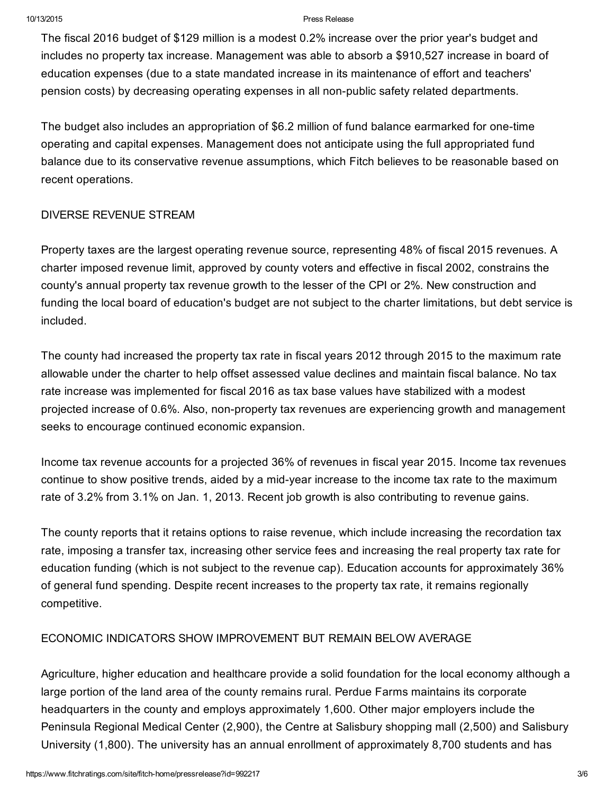#### 10/13/2015 Press Release

The fiscal 2016 budget of \$129 million is a modest 0.2% increase over the prior year's budget and includes no property tax increase. Management was able to absorb a \$910,527 increase in board of education expenses (due to a state mandated increase in its maintenance of effort and teachers' pension costs) by decreasing operating expenses in all nonpublic safety related departments.

The budget also includes an appropriation of \$6.2 million of fund balance earmarked for one-time operating and capital expenses. Management does not anticipate using the full appropriated fund balance due to its conservative revenue assumptions, which Fitch believes to be reasonable based on recent operations.

#### DIVERSE REVENUE STREAM

Property taxes are the largest operating revenue source, representing 48% of fiscal 2015 revenues. A charter imposed revenue limit, approved by county voters and effective in fiscal 2002, constrains the county's annual property tax revenue growth to the lesser of the CPI or 2%. New construction and funding the local board of education's budget are not subject to the charter limitations, but debt service is included.

The county had increased the property tax rate in fiscal years 2012 through 2015 to the maximum rate allowable under the charter to help offset assessed value declines and maintain fiscal balance. No tax rate increase was implemented for fiscal 2016 as tax base values have stabilized with a modest projected increase of 0.6%. Also, non-property tax revenues are experiencing growth and management seeks to encourage continued economic expansion.

Income tax revenue accounts for a projected 36% of revenues in fiscal year 2015. Income tax revenues continue to show positive trends, aided by a mid-year increase to the income tax rate to the maximum rate of 3.2% from 3.1% on Jan. 1, 2013. Recent job growth is also contributing to revenue gains.

The county reports that it retains options to raise revenue, which include increasing the recordation tax rate, imposing a transfer tax, increasing other service fees and increasing the real property tax rate for education funding (which is not subject to the revenue cap). Education accounts for approximately 36% of general fund spending. Despite recent increases to the property tax rate, it remains regionally competitive.

#### ECONOMIC INDICATORS SHOW IMPROVEMENT BUT REMAIN BELOW AVERAGE

Agriculture, higher education and healthcare provide a solid foundation for the local economy although a large portion of the land area of the county remains rural. Perdue Farms maintains its corporate headquarters in the county and employs approximately 1,600. Other major employers include the Peninsula Regional Medical Center (2,900), the Centre at Salisbury shopping mall (2,500) and Salisbury University (1,800). The university has an annual enrollment of approximately 8,700 students and has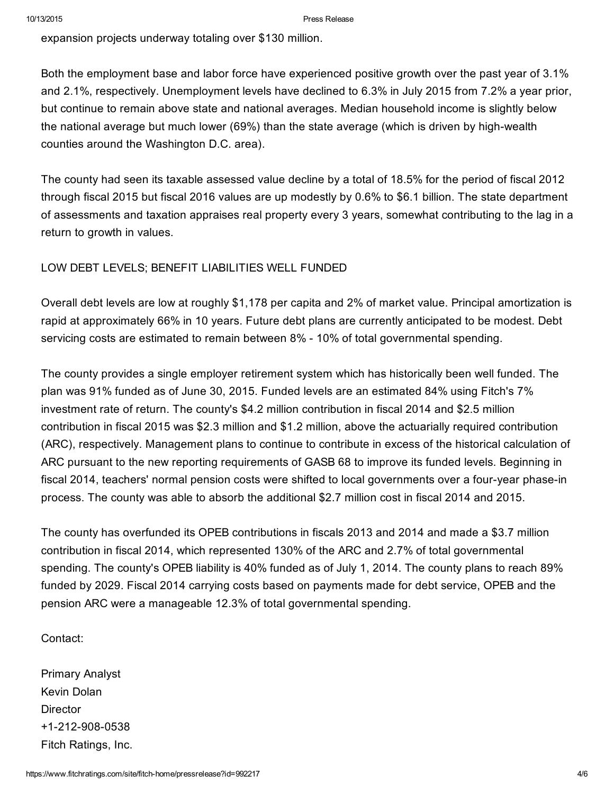expansion projects underway totaling over \$130 million.

Both the employment base and labor force have experienced positive growth over the past year of 3.1% and 2.1%, respectively. Unemployment levels have declined to 6.3% in July 2015 from 7.2% a year prior, but continue to remain above state and national averages. Median household income is slightly below the national average but much lower (69%) than the state average (which is driven by high-wealth counties around the Washington D.C. area).

The county had seen its taxable assessed value decline by a total of 18.5% for the period of fiscal 2012 through fiscal 2015 but fiscal 2016 values are up modestly by 0.6% to \$6.1 billion. The state department of assessments and taxation appraises real property every 3 years, somewhat contributing to the lag in a return to growth in values.

### LOW DEBT LEVELS; BENEFIT LIABILITIES WELL FUNDED

Overall debt levels are low at roughly \$1,178 per capita and 2% of market value. Principal amortization is rapid at approximately 66% in 10 years. Future debt plans are currently anticipated to be modest. Debt servicing costs are estimated to remain between 8% 10% of total governmental spending.

The county provides a single employer retirement system which has historically been well funded. The plan was 91% funded as of June 30, 2015. Funded levels are an estimated 84% using Fitch's 7% investment rate of return. The county's \$4.2 million contribution in fiscal 2014 and \$2.5 million contribution in fiscal 2015 was \$2.3 million and \$1.2 million, above the actuarially required contribution (ARC), respectively. Management plans to continue to contribute in excess of the historical calculation of ARC pursuant to the new reporting requirements of GASB 68 to improve its funded levels. Beginning in fiscal 2014, teachers' normal pension costs were shifted to local governments over a four-year phase-in process. The county was able to absorb the additional \$2.7 million cost in fiscal 2014 and 2015.

The county has overfunded its OPEB contributions in fiscals 2013 and 2014 and made a \$3.7 million contribution in fiscal 2014, which represented 130% of the ARC and 2.7% of total governmental spending. The county's OPEB liability is 40% funded as of July 1, 2014. The county plans to reach 89% funded by 2029. Fiscal 2014 carrying costs based on payments made for debt service, OPEB and the pension ARC were a manageable 12.3% of total governmental spending.

Contact:

Primary Analyst Kevin Dolan **Director** +1-212-908-0538 Fitch Ratings, Inc.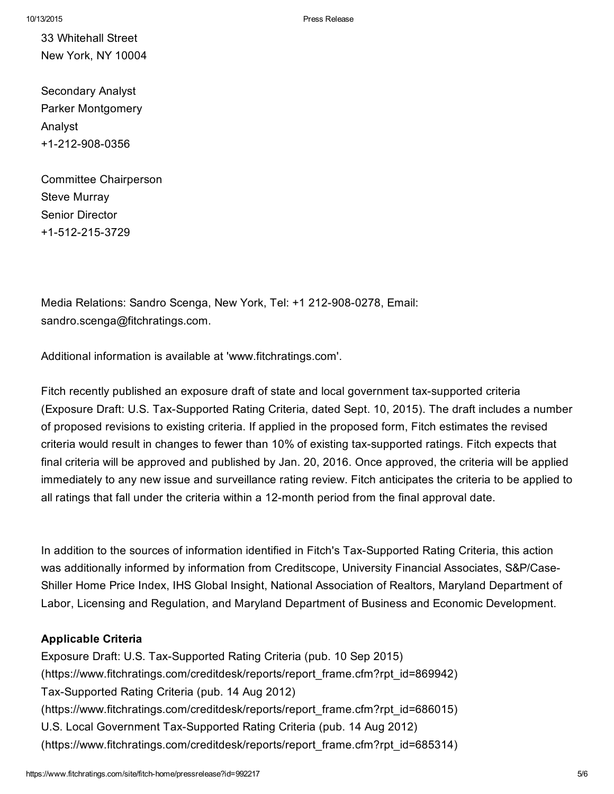33 Whitehall Street New York, NY 10004

Secondary Analyst Parker Montgomery Analyst +1-212-908-0356

Committee Chairperson Steve Murray Senior Director +1-512-215-3729

Media Relations: Sandro Scenga, New York, Tel: +1 212-908-0278, Email: sandro.scenga@fitchratings.com.

Additional information is available at 'www.fitchratings.com'.

Fitch recently published an exposure draft of state and local government tax-supported criteria (Exposure Draft: U.S. Tax-Supported Rating Criteria, dated Sept. 10, 2015). The draft includes a number of proposed revisions to existing criteria. If applied in the proposed form, Fitch estimates the revised criteria would result in changes to fewer than 10% of existing tax-supported ratings. Fitch expects that final criteria will be approved and published by Jan. 20, 2016. Once approved, the criteria will be applied immediately to any new issue and surveillance rating review. Fitch anticipates the criteria to be applied to all ratings that fall under the criteria within a 12-month period from the final approval date.

In addition to the sources of information identified in Fitch's Tax-Supported Rating Criteria, this action was additionally informed by information from Creditscope, University Financial Associates, S&P/Case-Shiller Home Price Index, IHS Global Insight, National Association of Realtors, Maryland Department of Labor, Licensing and Regulation, and Maryland Department of Business and Economic Development.

#### Applicable Criteria

Exposure Draft: U.S. Tax-Supported Rating Criteria (pub. 10 Sep 2015) [\(https://www.fitchratings.com/creditdesk/reports/report\\_frame.cfm?rpt\\_id=869942\)](https://www.fitchratings.com/creditdesk/reports/report_frame.cfm?rpt_id=869942) Tax-Supported Rating Criteria (pub. 14 Aug 2012) [\(https://www.fitchratings.com/creditdesk/reports/report\\_frame.cfm?rpt\\_id=686015\)](https://www.fitchratings.com/creditdesk/reports/report_frame.cfm?rpt_id=686015) U.S. Local Government Tax-Supported Rating Criteria (pub. 14 Aug 2012) [\(https://www.fitchratings.com/creditdesk/reports/report\\_frame.cfm?rpt\\_id=685314\)](https://www.fitchratings.com/creditdesk/reports/report_frame.cfm?rpt_id=685314)